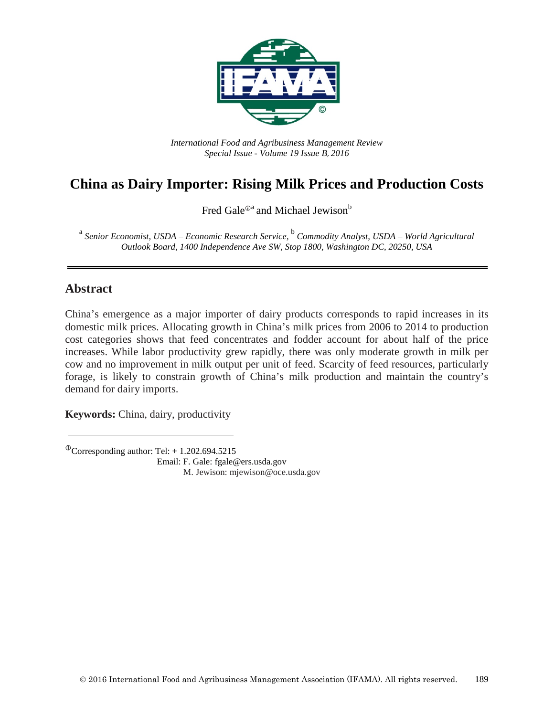

*International Food and Agribusiness Management Review Special Issue - Volume 19 Issue B*, *2016*

# **China as Dairy Importer: Rising Milk Prices and Production Costs**

Fred Gale<sup> $\Phi$ a</sup> and Michael Jewison<sup>b</sup>

<sup>a</sup> *Senior Economist, USDA – Economic Research Service,* <sup>b</sup> *Commodity Analyst, USDA – World Agricultural Outlook Board, 1400 Independence Ave SW, Stop 1800, Washington DC, 20250, USA*

#### **Abstract**

China's emergence as a major importer of dairy products corresponds to rapid increases in its domestic milk prices. Allocating growth in China's milk prices from 2006 to 2014 to production cost categories shows that feed concentrates and fodder account for about half of the price increases. While labor productivity grew rapidly, there was only moderate growth in milk per cow and no improvement in milk output per unit of feed. Scarcity of feed resources, particularly forage, is likely to constrain growth of China's milk production and maintain the country's demand for dairy imports.

**Keywords:** China, dairy, productivity

 $^{\circ}$ Corresponding author: Tel: + 1.202.694.5215 Email: F. Gale: fgale@ers.usda.gov M..Jewison: mjewison@oce.usda.gov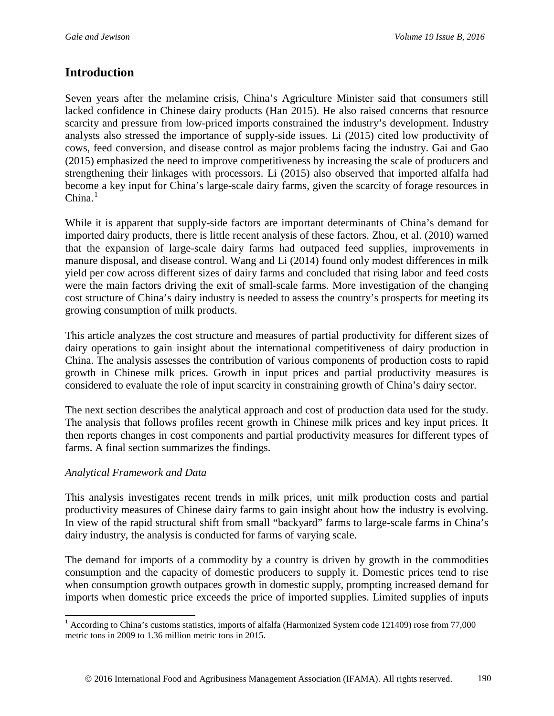## **Introduction**

Seven years after the melamine crisis, China's Agriculture Minister said that consumers still lacked confidence in Chinese dairy products (Han 2015). He also raised concerns that resource scarcity and pressure from low-priced imports constrained the industry's development. Industry analysts also stressed the importance of supply-side issues. Li (2015) cited low productivity of cows, feed conversion, and disease control as major problems facing the industry. Gai and Gao (2015) emphasized the need to improve competitiveness by increasing the scale of producers and strengthening their linkages with processors. Li (2015) also observed that imported alfalfa had become a key input for China's large-scale dairy farms, given the scarcity of forage resources in  $China.<sup>1</sup>$  $China.<sup>1</sup>$  $China.<sup>1</sup>$ 

While it is apparent that supply-side factors are important determinants of China's demand for imported dairy products, there is little recent analysis of these factors. Zhou, et al. (2010) warned that the expansion of large-scale dairy farms had outpaced feed supplies, improvements in manure disposal, and disease control. Wang and Li (2014) found only modest differences in milk yield per cow across different sizes of dairy farms and concluded that rising labor and feed costs were the main factors driving the exit of small-scale farms. More investigation of the changing cost structure of China's dairy industry is needed to assess the country's prospects for meeting its growing consumption of milk products.

This article analyzes the cost structure and measures of partial productivity for different sizes of dairy operations to gain insight about the international competitiveness of dairy production in China. The analysis assesses the contribution of various components of production costs to rapid growth in Chinese milk prices. Growth in input prices and partial productivity measures is considered to evaluate the role of input scarcity in constraining growth of China's dairy sector.

The next section describes the analytical approach and cost of production data used for the study. The analysis that follows profiles recent growth in Chinese milk prices and key input prices. It then reports changes in cost components and partial productivity measures for different types of farms. A final section summarizes the findings.

#### *Analytical Framework and Data*

This analysis investigates recent trends in milk prices, unit milk production costs and partial productivity measures of Chinese dairy farms to gain insight about how the industry is evolving. In view of the rapid structural shift from small "backyard" farms to large-scale farms in China's dairy industry, the analysis is conducted for farms of varying scale.

The demand for imports of a commodity by a country is driven by growth in the commodities consumption and the capacity of domestic producers to supply it. Domestic prices tend to rise when consumption growth outpaces growth in domestic supply, prompting increased demand for imports when domestic price exceeds the price of imported supplies. Limited supplies of inputs

<span id="page-1-0"></span><sup>&</sup>lt;sup>1</sup> According to China's customs statistics, imports of alfalfa (Harmonized System code 121409) rose from 77,000 metric tons in 2009 to 1.36 million metric tons in 2015.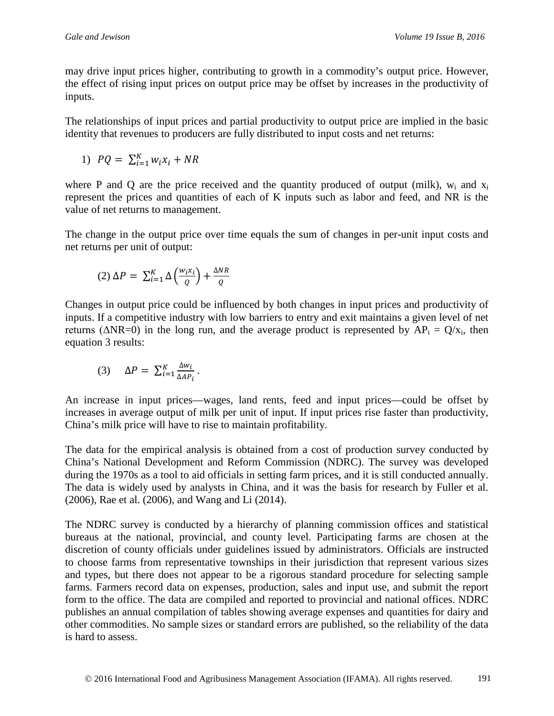may drive input prices higher, contributing to growth in a commodity's output price. However, the effect of rising input prices on output price may be offset by increases in the productivity of inputs.

The relationships of input prices and partial productivity to output price are implied in the basic identity that revenues to producers are fully distributed to input costs and net returns:

1) 
$$
PQ = \sum_{i=1}^{K} w_i x_i + NR
$$

where P and O are the price received and the quantity produced of output (milk),  $w_i$  and  $x_i$ represent the prices and quantities of each of K inputs such as labor and feed, and NR is the value of net returns to management.

The change in the output price over time equals the sum of changes in per-unit input costs and net returns per unit of output:

$$
(2) \Delta P = \sum_{i=1}^{K} \Delta \left( \frac{w_i x_i}{Q} \right) + \frac{\Delta N R}{Q}
$$

Changes in output price could be influenced by both changes in input prices and productivity of inputs. If a competitive industry with low barriers to entry and exit maintains a given level of net returns ( $\triangle NR=0$ ) in the long run, and the average product is represented by  $AP_i = Q/x_i$ , then equation 3 results:

$$
(3) \quad \Delta P = \sum_{i=1}^{K} \frac{\Delta w_i}{\Delta A P_i}.
$$

An increase in input prices—wages, land rents, feed and input prices—could be offset by increases in average output of milk per unit of input. If input prices rise faster than productivity, China's milk price will have to rise to maintain profitability.

The data for the empirical analysis is obtained from a cost of production survey conducted by China's National Development and Reform Commission (NDRC). The survey was developed during the 1970s as a tool to aid officials in setting farm prices, and it is still conducted annually. The data is widely used by analysts in China, and it was the basis for research by Fuller et al. (2006), Rae et al. (2006), and Wang and Li (2014).

The NDRC survey is conducted by a hierarchy of planning commission offices and statistical bureaus at the national, provincial, and county level. Participating farms are chosen at the discretion of county officials under guidelines issued by administrators. Officials are instructed to choose farms from representative townships in their jurisdiction that represent various sizes and types, but there does not appear to be a rigorous standard procedure for selecting sample farms. Farmers record data on expenses, production, sales and input use, and submit the report form to the office. The data are compiled and reported to provincial and national offices. NDRC publishes an annual compilation of tables showing average expenses and quantities for dairy and other commodities. No sample sizes or standard errors are published, so the reliability of the data is hard to assess.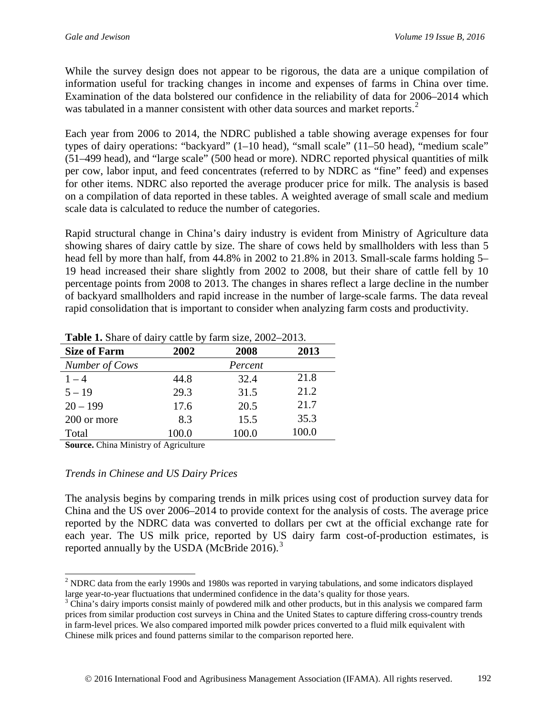While the survey design does not appear to be rigorous, the data are a unique compilation of information useful for tracking changes in income and expenses of farms in China over time. Examination of the data bolstered our confidence in the reliability of data for 2006–2014 which was tabulated in a manner consistent with other data sources and market reports.<sup>[2](#page-3-0)</sup>

Each year from 2006 to 2014, the NDRC published a table showing average expenses for four types of dairy operations: "backyard" (1–10 head), "small scale" (11–50 head), "medium scale" (51–499 head), and "large scale" (500 head or more). NDRC reported physical quantities of milk per cow, labor input, and feed concentrates (referred to by NDRC as "fine" feed) and expenses for other items. NDRC also reported the average producer price for milk. The analysis is based on a compilation of data reported in these tables. A weighted average of small scale and medium scale data is calculated to reduce the number of categories.

Rapid structural change in China's dairy industry is evident from Ministry of Agriculture data showing shares of dairy cattle by size. The share of cows held by smallholders with less than 5 head fell by more than half, from 44.8% in 2002 to 21.8% in 2013. Small-scale farms holding 5– 19 head increased their share slightly from 2002 to 2008, but their share of cattle fell by 10 percentage points from 2008 to 2013. The changes in shares reflect a large decline in the number of backyard smallholders and rapid increase in the number of large-scale farms. The data reveal rapid consolidation that is important to consider when analyzing farm costs and productivity.

| <b>Size of Farm</b> | 2013<br>2002<br>2008 |         |       |  |
|---------------------|----------------------|---------|-------|--|
| Number of Cows      |                      | Percent |       |  |
| $1 - 4$             | 44.8                 | 32.4    | 21.8  |  |
| $5 - 19$            | 29.3                 | 31.5    | 21.2  |  |
| $20 - 199$          | 17.6                 | 20.5    | 21.7  |  |
| 200 or more         | 8.3                  | 15.5    | 35.3  |  |
| Total               | 100.0                | 100.0   | 100.0 |  |

**Table 1.** Share of dairy cattle by farm size, 2002–2013.

**Source.** China Ministry of Agriculture

#### *Trends in Chinese and US Dairy Prices*

The analysis begins by comparing trends in milk prices using cost of production survey data for China and the US over 2006–2014 to provide context for the analysis of costs. The average price reported by the NDRC data was converted to dollars per cwt at the official exchange rate for each year. The US milk price, reported by US dairy farm cost-of-production estimates, is reported annually by the USDA (McBride  $2016$ ).<sup>[3](#page-3-1)</sup>

<span id="page-3-0"></span><sup>&</sup>lt;sup>2</sup> NDRC data from the early 1990s and 1980s was reported in varying tabulations, and some indicators displayed

<span id="page-3-1"></span>large year-to-year fluctuations that undermined confidence in the data's quality for those years.<br> $3$  China's dairy imports consist mainly of powdered milk and other products, but in this analysis we compared farm prices from similar production cost surveys in China and the United States to capture differing cross-country trends in farm-level prices. We also compared imported milk powder prices converted to a fluid milk equivalent with Chinese milk prices and found patterns similar to the comparison reported here.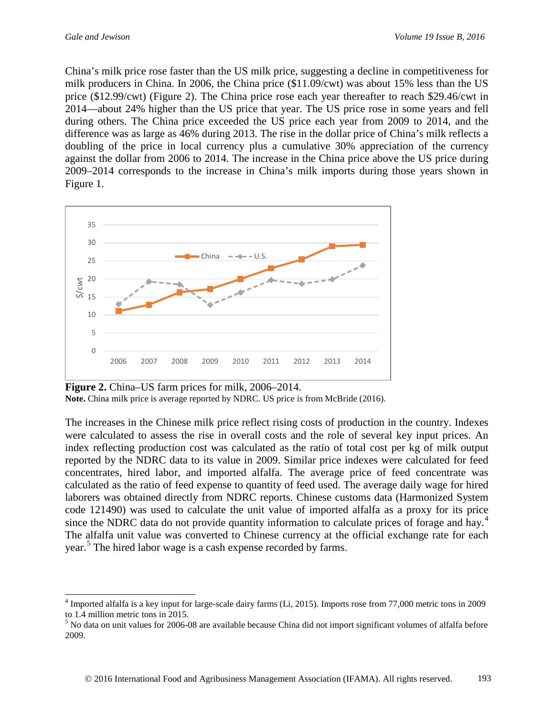China's milk price rose faster than the US milk price, suggesting a decline in competitiveness for milk producers in China. In 2006, the China price (\$11.09/cwt) was about 15% less than the US price (\$12.99/cwt) (Figure 2). The China price rose each year thereafter to reach \$29.46/cwt in 2014—about 24% higher than the US price that year. The US price rose in some years and fell during others. The China price exceeded the US price each year from 2009 to 2014, and the difference was as large as 46% during 2013. The rise in the dollar price of China's milk reflects a doubling of the price in local currency plus a cumulative 30% appreciation of the currency against the dollar from 2006 to 2014. The increase in the China price above the US price during 2009–2014 corresponds to the increase in China's milk imports during those years shown in Figure 1.



**Figure 2.** China–US farm prices for milk, 2006–2014. **Note.** China milk price is average reported by NDRC. US price is from McBride (2016).

The increases in the Chinese milk price reflect rising costs of production in the country. Indexes were calculated to assess the rise in overall costs and the role of several key input prices. An index reflecting production cost was calculated as the ratio of total cost per kg of milk output reported by the NDRC data to its value in 2009. Similar price indexes were calculated for feed concentrates, hired labor, and imported alfalfa. The average price of feed concentrate was calculated as the ratio of feed expense to quantity of feed used. The average daily wage for hired laborers was obtained directly from NDRC reports. Chinese customs data (Harmonized System code 121490) was used to calculate the unit value of imported alfalfa as a proxy for its price since the NDRC data do not provide quantity information to calculate prices of forage and hay.<sup>[4](#page-4-0)</sup> The alfalfa unit value was converted to Chinese currency at the official exchange rate for each year.<sup>[5](#page-4-1)</sup> The hired labor wage is a cash expense recorded by farms.

<span id="page-4-0"></span><sup>&</sup>lt;sup>4</sup> Imported alfalfa is a key input for large-scale dairy farms (Li, 2015). Imports rose from 77,000 metric tons in 2009 to 1.4 million metric tons in 2015.

<span id="page-4-1"></span><sup>5</sup> No data on unit values for 2006-08 are available because China did not import significant volumes of alfalfa before 2009.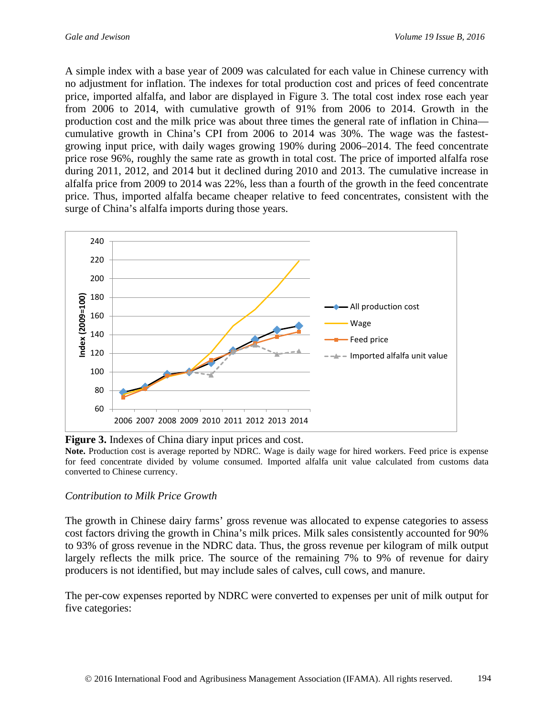A simple index with a base year of 2009 was calculated for each value in Chinese currency with no adjustment for inflation. The indexes for total production cost and prices of feed concentrate price, imported alfalfa, and labor are displayed in Figure 3. The total cost index rose each year from 2006 to 2014, with cumulative growth of 91% from 2006 to 2014. Growth in the production cost and the milk price was about three times the general rate of inflation in China cumulative growth in China's CPI from 2006 to 2014 was 30%. The wage was the fastestgrowing input price, with daily wages growing 190% during 2006–2014. The feed concentrate price rose 96%, roughly the same rate as growth in total cost. The price of imported alfalfa rose during 2011, 2012, and 2014 but it declined during 2010 and 2013. The cumulative increase in alfalfa price from 2009 to 2014 was 22%, less than a fourth of the growth in the feed concentrate price. Thus, imported alfalfa became cheaper relative to feed concentrates, consistent with the surge of China's alfalfa imports during those years.



**Figure 3.** Indexes of China diary input prices and cost.

**Note.** Production cost is average reported by NDRC. Wage is daily wage for hired workers. Feed price is expense for feed concentrate divided by volume consumed. Imported alfalfa unit value calculated from customs data converted to Chinese currency.

#### *Contribution to Milk Price Growth*

The growth in Chinese dairy farms' gross revenue was allocated to expense categories to assess cost factors driving the growth in China's milk prices. Milk sales consistently accounted for 90% to 93% of gross revenue in the NDRC data. Thus, the gross revenue per kilogram of milk output largely reflects the milk price. The source of the remaining 7% to 9% of revenue for dairy producers is not identified, but may include sales of calves, cull cows, and manure.

The per-cow expenses reported by NDRC were converted to expenses per unit of milk output for five categories: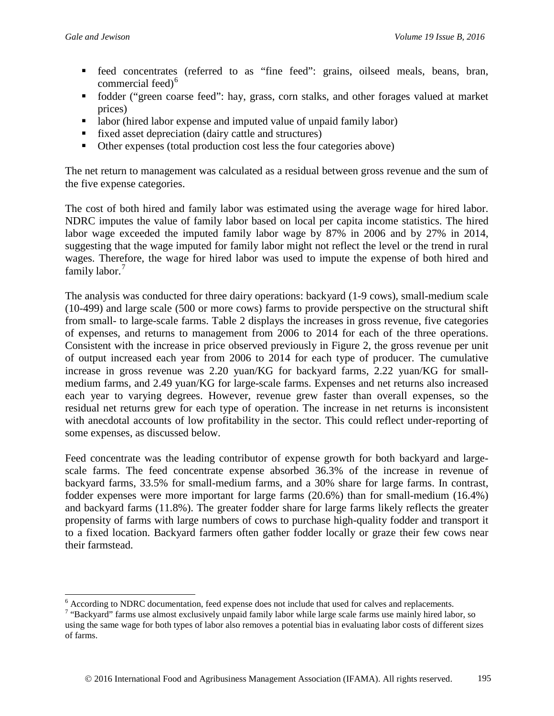- feed concentrates (referred to as "fine feed": grains, oilseed meals, beans, bran, commercial feed)<sup>[6](#page-6-0)</sup>
- fodder ("green coarse feed": hay, grass, corn stalks, and other forages valued at market prices)
- labor (hired labor expense and imputed value of unpaid family labor)
- fixed asset depreciation (dairy cattle and structures)
- Other expenses (total production cost less the four categories above)

The net return to management was calculated as a residual between gross revenue and the sum of the five expense categories.

The cost of both hired and family labor was estimated using the average wage for hired labor. NDRC imputes the value of family labor based on local per capita income statistics. The hired labor wage exceeded the imputed family labor wage by 87% in 2006 and by 27% in 2014, suggesting that the wage imputed for family labor might not reflect the level or the trend in rural wages. Therefore, the wage for hired labor was used to impute the expense of both hired and family labor.<sup>[7](#page-6-1)</sup>

The analysis was conducted for three dairy operations: backyard (1-9 cows), small-medium scale (10-499) and large scale (500 or more cows) farms to provide perspective on the structural shift from small- to large-scale farms. Table 2 displays the increases in gross revenue, five categories of expenses, and returns to management from 2006 to 2014 for each of the three operations. Consistent with the increase in price observed previously in Figure 2, the gross revenue per unit of output increased each year from 2006 to 2014 for each type of producer. The cumulative increase in gross revenue was 2.20 yuan/KG for backyard farms, 2.22 yuan/KG for smallmedium farms, and 2.49 yuan/KG for large-scale farms. Expenses and net returns also increased each year to varying degrees. However, revenue grew faster than overall expenses, so the residual net returns grew for each type of operation. The increase in net returns is inconsistent with anecdotal accounts of low profitability in the sector. This could reflect under-reporting of some expenses, as discussed below.

Feed concentrate was the leading contributor of expense growth for both backyard and largescale farms. The feed concentrate expense absorbed 36.3% of the increase in revenue of backyard farms, 33.5% for small-medium farms, and a 30% share for large farms. In contrast, fodder expenses were more important for large farms (20.6%) than for small-medium (16.4%) and backyard farms (11.8%). The greater fodder share for large farms likely reflects the greater propensity of farms with large numbers of cows to purchase high-quality fodder and transport it to a fixed location. Backyard farmers often gather fodder locally or graze their few cows near their farmstead.

<span id="page-6-1"></span><span id="page-6-0"></span>

 $\frac{6}{7}$  According to NDRC documentation, feed expense does not include that used for calves and replacements.<br> $\frac{7}{9}$  "Backyard" farms use almost exclusively unpaid family labor while large scale farms use mainly hire using the same wage for both types of labor also removes a potential bias in evaluating labor costs of different sizes of farms.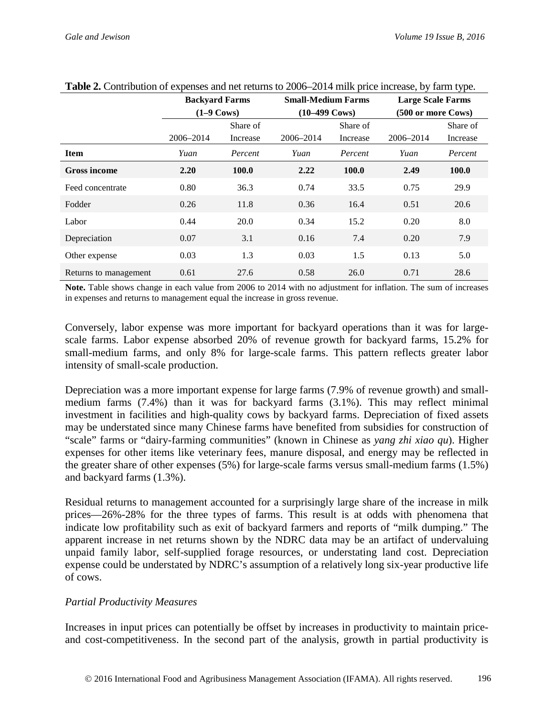|                       | <b>Backyard Farms</b><br>$(1-9 \text{ Cows})$ |          | <b>Small-Medium Farms</b><br>$(10-499 \text{ Cows})$ |          | <b>Large Scale Farms</b> |          |
|-----------------------|-----------------------------------------------|----------|------------------------------------------------------|----------|--------------------------|----------|
|                       |                                               |          |                                                      |          | (500 or more Cows)       |          |
|                       |                                               | Share of |                                                      | Share of |                          | Share of |
|                       | 2006-2014                                     | Increase | 2006-2014                                            | Increase | 2006-2014                | Increase |
| <b>Item</b>           | Yuan                                          | Percent  | Yuan                                                 | Percent  | Yuan                     | Percent  |
| <b>Gross income</b>   | 2.20                                          | 100.0    | 2.22                                                 | 100.0    | 2.49                     | 100.0    |
| Feed concentrate      | 0.80                                          | 36.3     | 0.74                                                 | 33.5     | 0.75                     | 29.9     |
| Fodder                | 0.26                                          | 11.8     | 0.36                                                 | 16.4     | 0.51                     | 20.6     |
| Labor                 | 0.44                                          | 20.0     | 0.34                                                 | 15.2     | 0.20                     | 8.0      |
| Depreciation          | 0.07                                          | 3.1      | 0.16                                                 | 7.4      | 0.20                     | 7.9      |
| Other expense         | 0.03                                          | 1.3      | 0.03                                                 | 1.5      | 0.13                     | 5.0      |
| Returns to management | 0.61                                          | 27.6     | 0.58                                                 | 26.0     | 0.71                     | 28.6     |

#### **Table 2.** Contribution of expenses and net returns to 2006–2014 milk price increase, by farm type.

**Note.** Table shows change in each value from 2006 to 2014 with no adjustment for inflation. The sum of increases in expenses and returns to management equal the increase in gross revenue.

Conversely, labor expense was more important for backyard operations than it was for largescale farms. Labor expense absorbed 20% of revenue growth for backyard farms, 15.2% for small-medium farms, and only 8% for large-scale farms. This pattern reflects greater labor intensity of small-scale production.

Depreciation was a more important expense for large farms (7.9% of revenue growth) and smallmedium farms (7.4%) than it was for backyard farms (3.1%). This may reflect minimal investment in facilities and high-quality cows by backyard farms. Depreciation of fixed assets may be understated since many Chinese farms have benefited from subsidies for construction of "scale" farms or "dairy-farming communities" (known in Chinese as *yang zhi xiao qu*). Higher expenses for other items like veterinary fees, manure disposal, and energy may be reflected in the greater share of other expenses (5%) for large-scale farms versus small-medium farms (1.5%) and backyard farms (1.3%).

Residual returns to management accounted for a surprisingly large share of the increase in milk prices—26%-28% for the three types of farms. This result is at odds with phenomena that indicate low profitability such as exit of backyard farmers and reports of "milk dumping." The apparent increase in net returns shown by the NDRC data may be an artifact of undervaluing unpaid family labor, self-supplied forage resources, or understating land cost. Depreciation expense could be understated by NDRC's assumption of a relatively long six-year productive life of cows.

#### *Partial Productivity Measures*

Increases in input prices can potentially be offset by increases in productivity to maintain priceand cost-competitiveness. In the second part of the analysis, growth in partial productivity is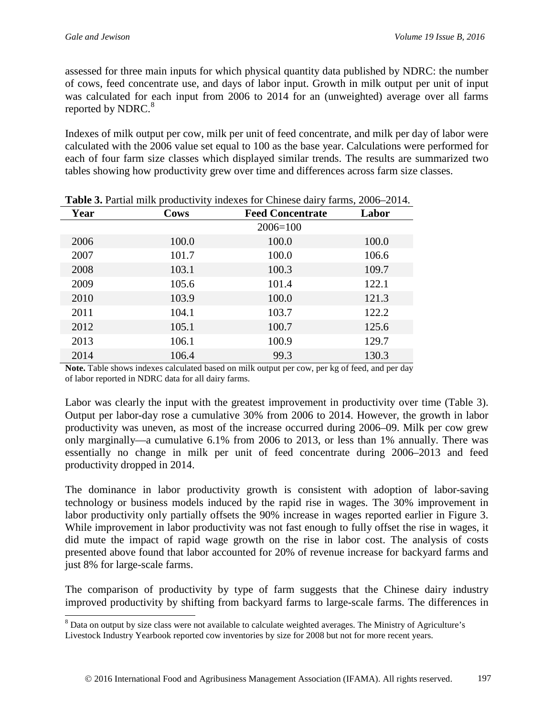assessed for three main inputs for which physical quantity data published by NDRC: the number of cows, feed concentrate use, and days of labor input. Growth in milk output per unit of input was calculated for each input from 2006 to 2014 for an (unweighted) average over all farms reported by NDRC.<sup>[8](#page-8-0)</sup>

Indexes of milk output per cow, milk per unit of feed concentrate, and milk per day of labor were calculated with the 2006 value set equal to 100 as the base year. Calculations were performed for each of four farm size classes which displayed similar trends. The results are summarized two tables showing how productivity grew over time and differences across farm size classes.

| <b>Thore</b> of I will mink productivity indexed for emillese daily natios, 2000 2014. |             |                         |       |  |  |
|----------------------------------------------------------------------------------------|-------------|-------------------------|-------|--|--|
| Year                                                                                   | <b>Cows</b> | <b>Feed Concentrate</b> | Labor |  |  |
|                                                                                        |             | $2006 = 100$            |       |  |  |
| 2006                                                                                   | 100.0       | 100.0                   | 100.0 |  |  |
| 2007                                                                                   | 101.7       | 100.0                   | 106.6 |  |  |
| 2008                                                                                   | 103.1       | 100.3                   | 109.7 |  |  |
| 2009                                                                                   | 105.6       | 101.4                   | 122.1 |  |  |
| 2010                                                                                   | 103.9       | 100.0                   | 121.3 |  |  |
| 2011                                                                                   | 104.1       | 103.7                   | 122.2 |  |  |
| 2012                                                                                   | 105.1       | 100.7                   | 125.6 |  |  |
| 2013                                                                                   | 106.1       | 100.9                   | 129.7 |  |  |
| 2014                                                                                   | 106.4       | 99.3                    | 130.3 |  |  |

|  |  | <b>Table 3.</b> Partial milk productivity indexes for Chinese dairy farms, 2006–2014. |
|--|--|---------------------------------------------------------------------------------------|
|--|--|---------------------------------------------------------------------------------------|

**Note.** Table shows indexes calculated based on milk output per cow, per kg of feed, and per day of labor reported in NDRC data for all dairy farms.

Labor was clearly the input with the greatest improvement in productivity over time (Table 3). Output per labor-day rose a cumulative 30% from 2006 to 2014. However, the growth in labor productivity was uneven, as most of the increase occurred during 2006–09. Milk per cow grew only marginally—a cumulative 6.1% from 2006 to 2013, or less than 1% annually. There was essentially no change in milk per unit of feed concentrate during 2006–2013 and feed productivity dropped in 2014.

The dominance in labor productivity growth is consistent with adoption of labor-saving technology or business models induced by the rapid rise in wages. The 30% improvement in labor productivity only partially offsets the 90% increase in wages reported earlier in Figure 3. While improvement in labor productivity was not fast enough to fully offset the rise in wages, it did mute the impact of rapid wage growth on the rise in labor cost. The analysis of costs presented above found that labor accounted for 20% of revenue increase for backyard farms and just 8% for large-scale farms.

The comparison of productivity by type of farm suggests that the Chinese dairy industry improved productivity by shifting from backyard farms to large-scale farms. The differences in

<span id="page-8-0"></span><sup>&</sup>lt;sup>8</sup> Data on output by size class were not available to calculate weighted averages. The Ministry of Agriculture's Livestock Industry Yearbook reported cow inventories by size for 2008 but not for more recent years.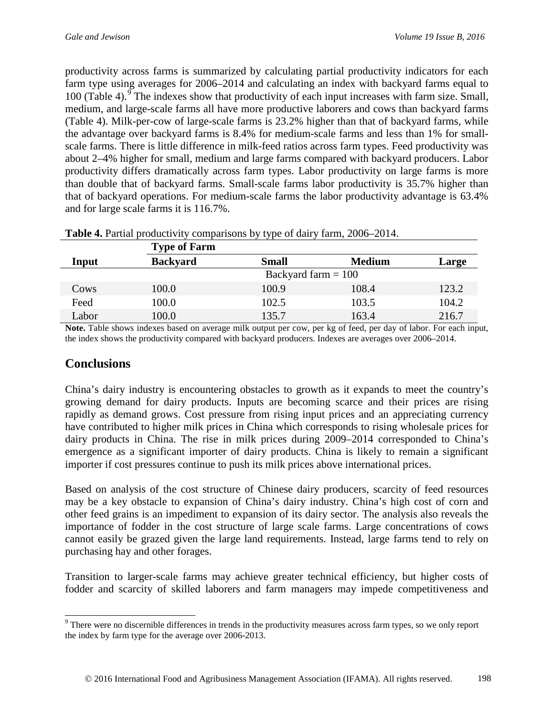productivity across farms is summarized by calculating partial productivity indicators for each farm type using averages for 2006–2014 and calculating an index with backyard farms equal to 100 (Table 4). $\degree$  The indexes show that productivity of each input increases with farm size. Small, medium, and large-scale farms all have more productive laborers and cows than backyard farms (Table 4). Milk-per-cow of large-scale farms is 23.2% higher than that of backyard farms, while the advantage over backyard farms is 8.4% for medium-scale farms and less than 1% for smallscale farms. There is little difference in milk-feed ratios across farm types. Feed productivity was about 2–4% higher for small, medium and large farms compared with backyard producers. Labor productivity differs dramatically across farm types. Labor productivity on large farms is more than double that of backyard farms. Small-scale farms labor productivity is 35.7% higher than that of backyard operations. For medium-scale farms the labor productivity advantage is 63.4% and for large scale farms it is 116.7%.

|       | <b>Type of Farm</b> |                       |               |       |  |  |
|-------|---------------------|-----------------------|---------------|-------|--|--|
| Input | <b>Backyard</b>     | <b>Small</b>          | <b>Medium</b> | Large |  |  |
|       |                     | Backyard farm $= 100$ |               |       |  |  |
| Cows  | 100.0               | 100.9                 | 108.4         | 123.2 |  |  |
| Feed  | 100.0               | 102.5                 | 103.5         | 104.2 |  |  |
| Labor | 100.0               | 135.7                 | 163.4         | 216.7 |  |  |

| Table 4. Partial productivity comparisons by type of dairy farm, 2006–2014. |  |  |  |  |  |
|-----------------------------------------------------------------------------|--|--|--|--|--|
|-----------------------------------------------------------------------------|--|--|--|--|--|

**Note.** Table shows indexes based on average milk output per cow, per kg of feed, per day of labor. For each input, the index shows the productivity compared with backyard producers. Indexes are averages over 2006–2014.

### **Conclusions**

China's dairy industry is encountering obstacles to growth as it expands to meet the country's growing demand for dairy products. Inputs are becoming scarce and their prices are rising rapidly as demand grows. Cost pressure from rising input prices and an appreciating currency have contributed to higher milk prices in China which corresponds to rising wholesale prices for dairy products in China. The rise in milk prices during 2009–2014 corresponded to China's emergence as a significant importer of dairy products. China is likely to remain a significant importer if cost pressures continue to push its milk prices above international prices.

Based on analysis of the cost structure of Chinese dairy producers, scarcity of feed resources may be a key obstacle to expansion of China's dairy industry. China's high cost of corn and other feed grains is an impediment to expansion of its dairy sector. The analysis also reveals the importance of fodder in the cost structure of large scale farms. Large concentrations of cows cannot easily be grazed given the large land requirements. Instead, large farms tend to rely on purchasing hay and other forages.

Transition to larger-scale farms may achieve greater technical efficiency, but higher costs of fodder and scarcity of skilled laborers and farm managers may impede competitiveness and

<span id="page-9-0"></span><sup>&</sup>lt;sup>9</sup> There were no discernible differences in trends in the productivity measures across farm types, so we only report the index by farm type for the average over 2006-2013.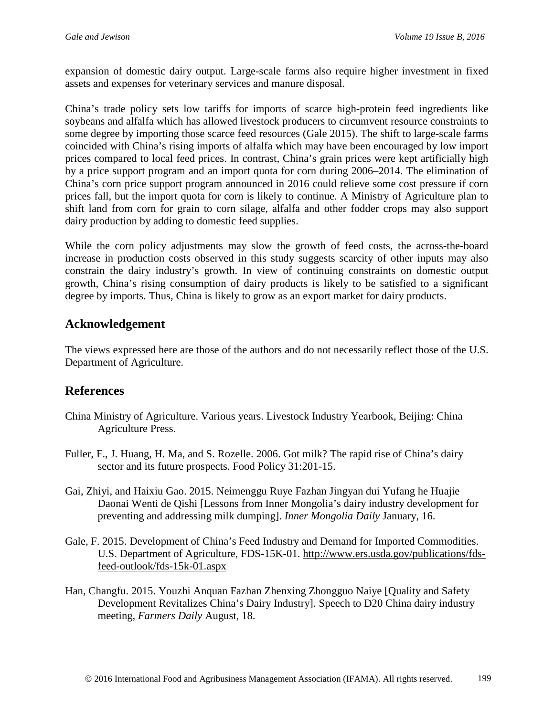expansion of domestic dairy output. Large-scale farms also require higher investment in fixed assets and expenses for veterinary services and manure disposal.

China's trade policy sets low tariffs for imports of scarce high-protein feed ingredients like soybeans and alfalfa which has allowed livestock producers to circumvent resource constraints to some degree by importing those scarce feed resources (Gale 2015). The shift to large-scale farms coincided with China's rising imports of alfalfa which may have been encouraged by low import prices compared to local feed prices. In contrast, China's grain prices were kept artificially high by a price support program and an import quota for corn during 2006–2014. The elimination of China's corn price support program announced in 2016 could relieve some cost pressure if corn prices fall, but the import quota for corn is likely to continue. A Ministry of Agriculture plan to shift land from corn for grain to corn silage, alfalfa and other fodder crops may also support dairy production by adding to domestic feed supplies.

While the corn policy adjustments may slow the growth of feed costs, the across-the-board increase in production costs observed in this study suggests scarcity of other inputs may also constrain the dairy industry's growth. In view of continuing constraints on domestic output growth, China's rising consumption of dairy products is likely to be satisfied to a significant degree by imports. Thus, China is likely to grow as an export market for dairy products.

### **Acknowledgement**

The views expressed here are those of the authors and do not necessarily reflect those of the U.S. Department of Agriculture.

### **References**

- China Ministry of Agriculture. Various years. Livestock Industry Yearbook, Beijing: China Agriculture Press.
- Fuller, F., J. Huang, H. Ma, and S. Rozelle. 2006. Got milk? The rapid rise of China's dairy sector and its future prospects. Food Policy 31:201-15.
- Gai, Zhiyi, and Haixiu Gao. 2015. Neimenggu Ruye Fazhan Jingyan dui Yufang he Huajie Daonai Wenti de Qishi [Lessons from Inner Mongolia's dairy industry development for preventing and addressing milk dumping]. *Inner Mongolia Daily* January, 16.
- Gale, F. 2015. Development of China's Feed Industry and Demand for Imported Commodities. U.S. Department of Agriculture, FDS-15K-01. [http://www.ers.usda.gov/publications/fds](http://www.ers.usda.gov/publications/fds-feed-outlook/fds-15k-01.aspx)[feed-outlook/fds-15k-01.aspx](http://www.ers.usda.gov/publications/fds-feed-outlook/fds-15k-01.aspx)
- Han, Changfu. 2015. Youzhi Anquan Fazhan Zhenxing Zhongguo Naiye [Quality and Safety Development Revitalizes China's Dairy Industry]. Speech to D20 China dairy industry meeting, *Farmers Daily* August, 18.